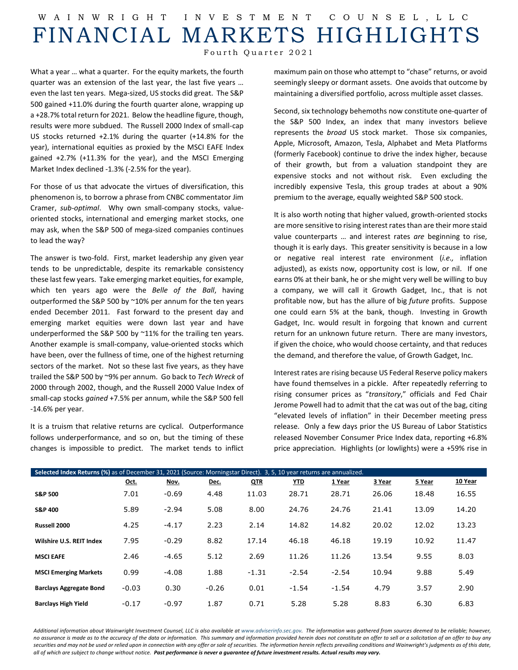## W AINWRIGHT INVESTMENT COUNSEL ,LLC FINANCIAL MARKETS HIGHLIGHTS

Fourth Quarter 2021

What a year … what a quarter. For the equity markets, the fourth quarter was an extension of the last year, the last five years … even the last ten years. Mega-sized, US stocks did great. The S&P 500 gained +11.0% during the fourth quarter alone, wrapping up a +28.7% total return for 2021. Below the headline figure, though, results were more subdued. The Russell 2000 Index of small-cap US stocks returned +2.1% during the quarter (+14.8% for the year), international equities as proxied by the MSCI EAFE Index gained +2.7% (+11.3% for the year), and the MSCI Emerging Market Index declined -1.3% (-2.5% for the year).

For those of us that advocate the virtues of diversification, this phenomenon is, to borrow a phrase from CNBC commentator Jim Cramer, *sub-optimal*. Why own small-company stocks, valueoriented stocks, international and emerging market stocks, one may ask, when the S&P 500 of mega-sized companies continues to lead the way?

The answer is two-fold. First, market leadership any given year tends to be unpredictable, despite its remarkable consistency these last few years. Take emerging market equities, for example, which ten years ago were the *Belle of the Ball*, having outperformed the S&P 500 by ~10% per annum for the ten years ended December 2011. Fast forward to the present day and emerging market equities were down last year and have underperformed the S&P 500 by ~11% for the trailing ten years. Another example is small-company, value-oriented stocks which have been, over the fullness of time, one of the highest returning sectors of the market. Not so these last five years, as they have trailed the S&P 500 by ~9% per annum. Go back to *Tech Wreck* of 2000 through 2002, though, and the Russell 2000 Value Index of small-cap stocks *gained* +7.5% per annum, while the S&P 500 fell -14.6% per year.

It is a truism that relative returns are cyclical. Outperformance follows underperformance, and so on, but the timing of these changes is impossible to predict. The market tends to inflict maximum pain on those who attempt to "chase" returns, or avoid seemingly sleepy or dormant assets. One avoids that outcome by maintaining a diversified portfolio, across multiple asset classes.

Second, six technology behemoths now constitute one-quarter of the S&P 500 Index, an index that many investors believe represents the *broad* US stock market. Those six companies, Apple, Microsoft, Amazon, Tesla, Alphabet and Meta Platforms (formerly Facebook) continue to drive the index higher, because of their growth, but from a valuation standpoint they are expensive stocks and not without risk. Even excluding the incredibly expensive Tesla, this group trades at about a 90% premium to the average, equally weighted S&P 500 stock.

It is also worth noting that higher valued, growth-oriented stocks are more sensitive to rising interest rates than are their more staid value counterparts … and interest rates *are* beginning to rise, though it is early days. This greater sensitivity is because in a low or negative real interest rate environment (*i.e.,* inflation adjusted), as exists now, opportunity cost is low, or nil. If one earns 0% at their bank, he or she might very well be willing to buy a company, we will call it Growth Gadget, Inc., that is not profitable now, but has the allure of big *future* profits. Suppose one could earn 5% at the bank, though. Investing in Growth Gadget, Inc. would result in forgoing that known and current return for an unknown future return. There are many investors, if given the choice, who would choose certainty, and that reduces the demand, and therefore the value, of Growth Gadget, Inc.

Interest rates are rising because US Federal Reserve policy makers have found themselves in a pickle. After repeatedly referring to rising consumer prices as "*transitory*," officials and Fed Chair Jerome Powell had to admit that the cat was out of the bag, citing "elevated levels of inflation" in their December meeting press release. Only a few days prior the US Bureau of Labor Statistics released November Consumer Price Index data, reporting +6.8% price appreciation. Highlights (or lowlights) were a +59% rise in

| Selected Index Returns (%) as of December 31, 2021 (Source: Morningstar Direct). 3, 5, 10 year returns are annualized. |         |         |         |            |            |         |        |        |         |  |  |
|------------------------------------------------------------------------------------------------------------------------|---------|---------|---------|------------|------------|---------|--------|--------|---------|--|--|
|                                                                                                                        | Oct.    | Nov.    | Dec.    | <b>QTR</b> | <u>YTD</u> | 1 Year  | 3 Year | 5 Year | 10 Year |  |  |
| <b>S&amp;P 500</b>                                                                                                     | 7.01    | $-0.69$ | 4.48    | 11.03      | 28.71      | 28.71   | 26.06  | 18.48  | 16.55   |  |  |
| <b>S&amp;P 400</b>                                                                                                     | 5.89    | $-2.94$ | 5.08    | 8.00       | 24.76      | 24.76   | 21.41  | 13.09  | 14.20   |  |  |
| Russell 2000                                                                                                           | 4.25    | $-4.17$ | 2.23    | 2.14       | 14.82      | 14.82   | 20.02  | 12.02  | 13.23   |  |  |
| Wilshire U.S. REIT Index                                                                                               | 7.95    | $-0.29$ | 8.82    | 17.14      | 46.18      | 46.18   | 19.19  | 10.92  | 11.47   |  |  |
| <b>MSCI EAFE</b>                                                                                                       | 2.46    | $-4.65$ | 5.12    | 2.69       | 11.26      | 11.26   | 13.54  | 9.55   | 8.03    |  |  |
| <b>MSCI Emerging Markets</b>                                                                                           | 0.99    | $-4.08$ | 1.88    | $-1.31$    | $-2.54$    | $-2.54$ | 10.94  | 9.88   | 5.49    |  |  |
| <b>Barclays Aggregate Bond</b>                                                                                         | $-0.03$ | 0.30    | $-0.26$ | 0.01       | $-1.54$    | $-1.54$ | 4.79   | 3.57   | 2.90    |  |  |
| <b>Barclays High Yield</b>                                                                                             | $-0.17$ | $-0.97$ | 1.87    | 0.71       | 5.28       | 5.28    | 8.83   | 6.30   | 6.83    |  |  |

Additional information about Wainwright Investment Counsel, LLC is also available a[t www.adviserinfo.sec.gov.](http://www.adviserinfo.sec.gov/) The information was aathered from sources deemed to be reliable; however, *no assurance is made as to the accuracy of the data or information. This summary and information provided herein does not constitute an offer to sell or a solicitation of an offer to buy any securities and may not be used or relied upon in connection with any offer or sale of securities. The information herein reflects prevailing conditions and Wainwright's judgments as of this date, all of which are subject to change without notice. Past performance is never a guarantee of future investment results. Actual results may vary.*